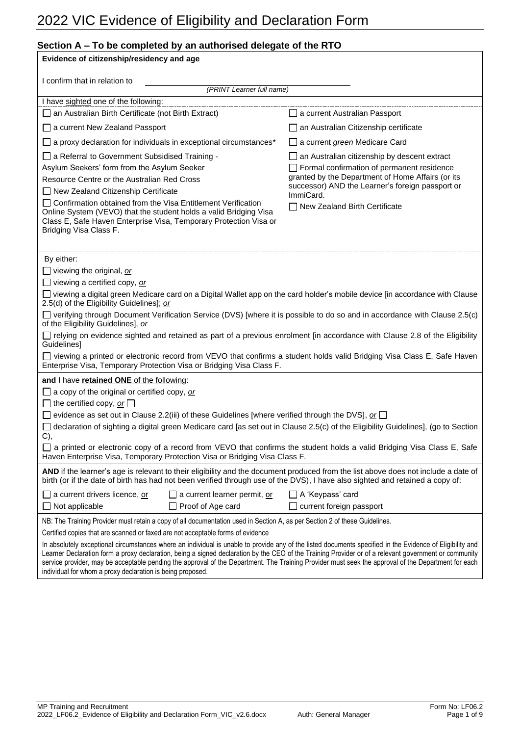### **Section A – To be completed by an authorised delegate of the RTO**

| Evidence of citizenship/residency and age                                                                                                                                                                                                                                                                                                                                                                                                                                                                                               |                                                               |  |  |
|-----------------------------------------------------------------------------------------------------------------------------------------------------------------------------------------------------------------------------------------------------------------------------------------------------------------------------------------------------------------------------------------------------------------------------------------------------------------------------------------------------------------------------------------|---------------------------------------------------------------|--|--|
|                                                                                                                                                                                                                                                                                                                                                                                                                                                                                                                                         |                                                               |  |  |
| I confirm that in relation to<br>(PRINT Learner full name)                                                                                                                                                                                                                                                                                                                                                                                                                                                                              |                                                               |  |  |
| I have sighted one of the following:                                                                                                                                                                                                                                                                                                                                                                                                                                                                                                    |                                                               |  |  |
| an Australian Birth Certificate (not Birth Extract)                                                                                                                                                                                                                                                                                                                                                                                                                                                                                     | a current Australian Passport                                 |  |  |
| $\Box$ a current New Zealand Passport                                                                                                                                                                                                                                                                                                                                                                                                                                                                                                   | an Australian Citizenship certificate                         |  |  |
| a proxy declaration for individuals in exceptional circumstances*<br>$\Box$                                                                                                                                                                                                                                                                                                                                                                                                                                                             | a current <i>green</i> Medicare Card                          |  |  |
| □ a Referral to Government Subsidised Training -                                                                                                                                                                                                                                                                                                                                                                                                                                                                                        | $\Box$ an Australian citizenship by descent extract           |  |  |
| Asylum Seekers' form from the Asylum Seeker                                                                                                                                                                                                                                                                                                                                                                                                                                                                                             | Formal confirmation of permanent residence                    |  |  |
| Resource Centre or the Australian Red Cross                                                                                                                                                                                                                                                                                                                                                                                                                                                                                             | granted by the Department of Home Affairs (or its             |  |  |
| New Zealand Citizenship Certificate                                                                                                                                                                                                                                                                                                                                                                                                                                                                                                     | successor) AND the Learner's foreign passport or<br>ImmiCard. |  |  |
| □ Confirmation obtained from the Visa Entitlement Verification<br>Online System (VEVO) that the student holds a valid Bridging Visa<br>Class E, Safe Haven Enterprise Visa, Temporary Protection Visa or<br>Bridging Visa Class F.                                                                                                                                                                                                                                                                                                      | New Zealand Birth Certificate                                 |  |  |
| By either:                                                                                                                                                                                                                                                                                                                                                                                                                                                                                                                              |                                                               |  |  |
| $\Box$ viewing the original, or                                                                                                                                                                                                                                                                                                                                                                                                                                                                                                         |                                                               |  |  |
| $\Box$ viewing a certified copy, or                                                                                                                                                                                                                                                                                                                                                                                                                                                                                                     |                                                               |  |  |
| □ viewing a digital green Medicare card on a Digital Wallet app on the card holder's mobile device [in accordance with Clause<br>2.5(d) of the Eligibility Guidelines]; or                                                                                                                                                                                                                                                                                                                                                              |                                                               |  |  |
| □ verifying through Document Verification Service (DVS) [where it is possible to do so and in accordance with Clause 2.5(c)<br>of the Eligibility Guidelines], or                                                                                                                                                                                                                                                                                                                                                                       |                                                               |  |  |
| $\Box$ relying on evidence sighted and retained as part of a previous enrolment [in accordance with Clause 2.8 of the Eligibility<br>Guidelines]                                                                                                                                                                                                                                                                                                                                                                                        |                                                               |  |  |
| □ viewing a printed or electronic record from VEVO that confirms a student holds valid Bridging Visa Class E, Safe Haven<br>Enterprise Visa, Temporary Protection Visa or Bridging Visa Class F.                                                                                                                                                                                                                                                                                                                                        |                                                               |  |  |
| and I have retained ONE of the following:                                                                                                                                                                                                                                                                                                                                                                                                                                                                                               |                                                               |  |  |
| $\Box$ a copy of the original or certified copy, or                                                                                                                                                                                                                                                                                                                                                                                                                                                                                     |                                                               |  |  |
| $\Box$ the certified copy, or $\Box$                                                                                                                                                                                                                                                                                                                                                                                                                                                                                                    |                                                               |  |  |
| evidence as set out in Clause 2.2(iii) of these Guidelines [where verified through the DVS], or $\square$                                                                                                                                                                                                                                                                                                                                                                                                                               |                                                               |  |  |
| declaration of sighting a digital green Medicare card [as set out in Clause 2.5(c) of the Eligibility Guidelines], (go to Section<br>$\Box$<br>C),                                                                                                                                                                                                                                                                                                                                                                                      |                                                               |  |  |
| a printed or electronic copy of a record from VEVO that confirms the student holds a valid Bridging Visa Class E, Safe<br>Haven Enterprise Visa, Temporary Protection Visa or Bridging Visa Class F.                                                                                                                                                                                                                                                                                                                                    |                                                               |  |  |
| AND if the learner's age is relevant to their eligibility and the document produced from the list above does not include a date of<br>birth (or if the date of birth has had not been verified through use of the DVS), I have also sighted and retained a copy of:                                                                                                                                                                                                                                                                     |                                                               |  |  |
| $\Box$ a current drivers licence, or<br>$\Box$ a current learner permit, or                                                                                                                                                                                                                                                                                                                                                                                                                                                             | $\Box$ A 'Keypass' card                                       |  |  |
| $\Box$ Not applicable<br>Proof of Age card                                                                                                                                                                                                                                                                                                                                                                                                                                                                                              | current foreign passport                                      |  |  |
| NB: The Training Provider must retain a copy of all documentation used in Section A, as per Section 2 of these Guidelines.                                                                                                                                                                                                                                                                                                                                                                                                              |                                                               |  |  |
| Certified copies that are scanned or faxed are not acceptable forms of evidence                                                                                                                                                                                                                                                                                                                                                                                                                                                         |                                                               |  |  |
| In absolutely exceptional circumstances where an individual is unable to provide any of the listed documents specified in the Evidence of Eligibility and<br>Learner Declaration form a proxy declaration, being a signed declaration by the CEO of the Training Provider or of a relevant government or community<br>service provider, may be acceptable pending the approval of the Department. The Training Provider must seek the approval of the Department for each<br>individual for whom a proxy declaration is being proposed. |                                                               |  |  |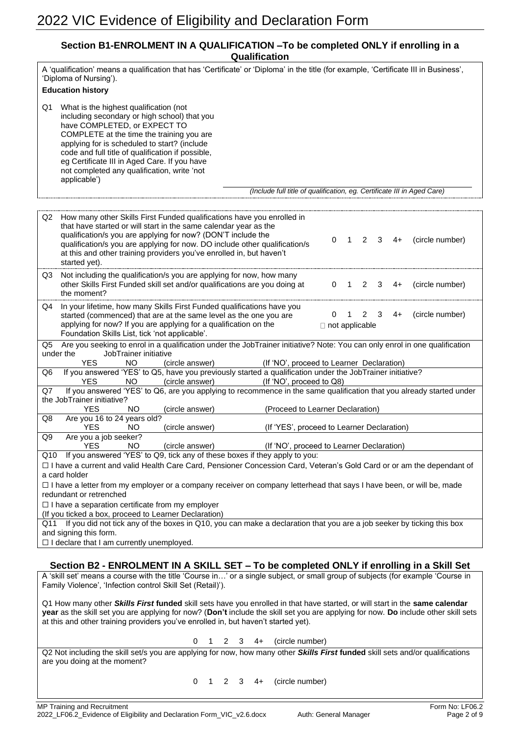### **Section B1-ENROLMENT IN A QUALIFICATION –To be completed ONLY if enrolling in a Qualification**

| A 'qualification' means a qualification that has 'Certificate' or 'Diploma' in the title (for example, 'Certificate III in Business',<br>'Diploma of Nursing').<br><b>Education history</b>                                                                                                                                                                                                                                                                              |  |  |  |
|--------------------------------------------------------------------------------------------------------------------------------------------------------------------------------------------------------------------------------------------------------------------------------------------------------------------------------------------------------------------------------------------------------------------------------------------------------------------------|--|--|--|
| What is the highest qualification (not<br>Q1<br>including secondary or high school) that you<br>have COMPLETED, or EXPECT TO<br>COMPLETE at the time the training you are<br>applying for is scheduled to start? (include<br>code and full title of qualification if possible,<br>eg Certificate III in Aged Care. If you have<br>not completed any qualification, write 'not<br>applicable')<br>(Include full title of qualification, eg. Certificate III in Aged Care) |  |  |  |
|                                                                                                                                                                                                                                                                                                                                                                                                                                                                          |  |  |  |
| How many other Skills First Funded qualifications have you enrolled in<br>Q2<br>that have started or will start in the same calendar year as the<br>qualification/s you are applying for now? (DON'T include the<br>2<br>3<br>$4+$<br>(circle number)<br>0<br>$\mathbf{1}$<br>qualification/s you are applying for now. DO include other qualification/s<br>at this and other training providers you've enrolled in, but haven't<br>started yet).                        |  |  |  |
| Not including the qualification/s you are applying for now, how many<br>Q3<br>other Skills First Funded skill set and/or qualifications are you doing at<br>$\overline{2}$<br>3<br>(circle number)<br>0<br>$\overline{1}$<br>4+<br>the moment?                                                                                                                                                                                                                           |  |  |  |
| In your lifetime, how many Skills First Funded qualifications have you<br>Q4<br>(circle number)<br>started (commenced) that are at the same level as the one you are<br>0<br>$\overline{1}$<br>2<br>3<br>4+<br>applying for now? If you are applying for a qualification on the<br>$\Box$ not applicable<br>Foundation Skills List, tick 'not applicable'.                                                                                                               |  |  |  |
| Are you seeking to enrol in a qualification under the JobTrainer initiative? Note: You can only enrol in one qualification<br>Q5<br>under the<br>JobTrainer initiative<br><b>YES</b><br>NO.<br>(If 'NO', proceed to Learner Declaration)<br>(circle answer)                                                                                                                                                                                                              |  |  |  |
| If you answered 'YES' to Q5, have you previously started a qualification under the JobTrainer initiative?<br>Q6<br>(If 'NO', proceed to Q8)<br><b>YES</b><br>NO.                                                                                                                                                                                                                                                                                                         |  |  |  |
| (circle answer)<br>If you answered 'YES' to Q6, are you applying to recommence in the same qualification that you already started under<br>Q7<br>the JobTrainer initiative?                                                                                                                                                                                                                                                                                              |  |  |  |
| <b>YES</b><br>NO<br>(circle answer)<br>(Proceed to Learner Declaration)<br>Are you 16 to 24 years old?<br>Q8                                                                                                                                                                                                                                                                                                                                                             |  |  |  |
| <b>YES</b><br>NO.<br>(circle answer)<br>(If 'YES', proceed to Learner Declaration)<br>Are you a job seeker?<br>Q9                                                                                                                                                                                                                                                                                                                                                        |  |  |  |
| <b>YES</b><br>NO<br>(If 'NO', proceed to Learner Declaration)<br>(circle answer)<br>Q10 If you answered 'YES' to Q9, tick any of these boxes if they apply to you:                                                                                                                                                                                                                                                                                                       |  |  |  |
| □ I have a current and valid Health Care Card, Pensioner Concession Card, Veteran's Gold Card or or am the dependant of                                                                                                                                                                                                                                                                                                                                                  |  |  |  |
| a card holder<br>□ I have a letter from my employer or a company receiver on company letterhead that says I have been, or will be, made                                                                                                                                                                                                                                                                                                                                  |  |  |  |
| redundant or retrenched<br>$\Box$ I have a separation certificate from my employer                                                                                                                                                                                                                                                                                                                                                                                       |  |  |  |
| (If you ticked a box, proceed to Learner Declaration)<br>Q11 If you did not tick any of the boxes in Q10, you can make a declaration that you are a job seeker by ticking this box                                                                                                                                                                                                                                                                                       |  |  |  |
| and signing this form.<br>$\Box$ I declare that I am currently unemployed.                                                                                                                                                                                                                                                                                                                                                                                               |  |  |  |
|                                                                                                                                                                                                                                                                                                                                                                                                                                                                          |  |  |  |
| Section B2 - ENROLMENT IN A SKILL SET – To be completed ONLY if enrolling in a Skill Set                                                                                                                                                                                                                                                                                                                                                                                 |  |  |  |
| A 'skill set' means a course with the title 'Course in' or a single subject, or small group of subjects (for example 'Course in<br>Family Violence', 'Infection control Skill Set (Retail)').                                                                                                                                                                                                                                                                            |  |  |  |
| Q1 How many other Skills First funded skill sets have you enrolled in that have started, or will start in the same calendar<br>year as the skill set you are applying for now? (Don't include the skill set you are applying for now. Do include other skill sets<br>at this and other training providers you've enrolled in, but haven't started yet).                                                                                                                  |  |  |  |
| (circle number)<br>0<br>-1<br>$\overline{2}$<br>3<br>4+                                                                                                                                                                                                                                                                                                                                                                                                                  |  |  |  |
| Q2 Not including the skill set/s you are applying for now, how many other Skills First funded skill sets and/or qualifications<br>are you doing at the moment?                                                                                                                                                                                                                                                                                                           |  |  |  |
| (circle number)<br>$2 \quad 3$<br>0<br>$\blacksquare$ 1<br>4+                                                                                                                                                                                                                                                                                                                                                                                                            |  |  |  |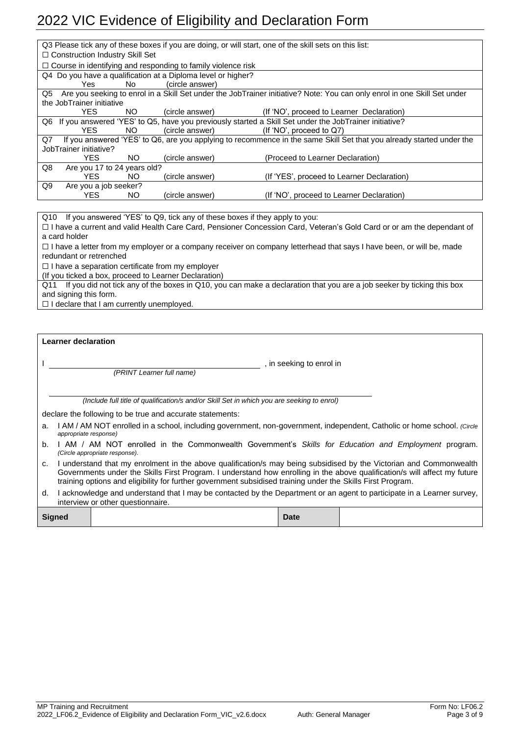|                                                                                                                            | Q3 Please tick any of these boxes if you are doing, or will start, one of the skill sets on this list:                      |     |                                                              |                                                                                                          |
|----------------------------------------------------------------------------------------------------------------------------|-----------------------------------------------------------------------------------------------------------------------------|-----|--------------------------------------------------------------|----------------------------------------------------------------------------------------------------------|
|                                                                                                                            | $\Box$ Construction Industry Skill Set                                                                                      |     |                                                              |                                                                                                          |
|                                                                                                                            | $\Box$ Course in identifying and responding to family violence risk                                                         |     |                                                              |                                                                                                          |
|                                                                                                                            |                                                                                                                             |     | Q4 Do you have a qualification at a Diploma level or higher? |                                                                                                          |
|                                                                                                                            | Yes.                                                                                                                        | No. | (circle answer)                                              |                                                                                                          |
|                                                                                                                            | Q5 Are you seeking to enrol in a Skill Set under the JobTrainer initiative? Note: You can only enrol in one Skill Set under |     |                                                              |                                                                                                          |
|                                                                                                                            | the JobTrainer initiative                                                                                                   |     |                                                              |                                                                                                          |
|                                                                                                                            | YFS.                                                                                                                        | NO. | (circle answer)                                              | (If 'NO', proceed to Learner Declaration)                                                                |
|                                                                                                                            |                                                                                                                             |     |                                                              | Q6 If you answered 'YES' to Q5, have you previously started a Skill Set under the JobTrainer initiative? |
|                                                                                                                            | YFS.                                                                                                                        | NO. | (circle answer)                                              | (If 'NO', proceed to $Q7$ )                                                                              |
| If you answered 'YES' to Q6, are you applying to recommence in the same Skill Set that you already started under the<br>Q7 |                                                                                                                             |     |                                                              |                                                                                                          |
|                                                                                                                            | JobTrainer initiative?                                                                                                      |     |                                                              |                                                                                                          |
|                                                                                                                            | YFS.                                                                                                                        | NO. | (circle answer)                                              | (Proceed to Learner Declaration)                                                                         |
| Q8                                                                                                                         | Are you 17 to 24 years old?                                                                                                 |     |                                                              |                                                                                                          |
|                                                                                                                            | <b>YES</b>                                                                                                                  | NO. | (circle answer)                                              | (If 'YES', proceed to Learner Declaration)                                                               |
| Q9                                                                                                                         | Are you a job seeker?                                                                                                       |     |                                                              |                                                                                                          |
|                                                                                                                            | <b>YES</b>                                                                                                                  | NO. | (circle answer)                                              | (If 'NO', proceed to Learner Declaration)                                                                |
|                                                                                                                            |                                                                                                                             |     |                                                              |                                                                                                          |

Q10 If you answered 'YES' to Q9, tick any of these boxes if they apply to you: ☐ I have a current and valid Health Care Card, Pensioner Concession Card, Veteran's Gold Card or or am the dependant of a card holder

☐ I have a letter from my employer or a company receiver on company letterhead that says I have been, or will be, made redundant or retrenched

☐ I have a separation certificate from my employer

(If you ticked a box, proceed to Learner Declaration)

Q11 If you did not tick any of the boxes in Q10, you can make a declaration that you are a job seeker by ticking this box and signing this form.

☐ I declare that I am currently unemployed.

| <b>Learner declaration</b> |  |  |
|----------------------------|--|--|
|                            |  |  |
|                            |  |  |
|                            |  |  |

*(PRINT Learner full name)*

, in seeking to enrol in

*(Include full title of qualification/s and/or Skill Set in which you are seeking to enrol)*

declare the following to be true and accurate statements:

- a. I AM / AM NOT enrolled in a school, including government, non-government, independent, Catholic or home school. *(Circle appropriate response)*
- b. I AM / AM NOT enrolled in the Commonwealth Government's *Skills for Education and Employment* program. *(Circle appropriate response).*
- c. I understand that my enrolment in the above qualification/s may being subsidised by the Victorian and Commonwealth Governments under the Skills First Program. I understand how enrolling in the above qualification/s will affect my future training options and eligibility for further government subsidised training under the Skills First Program.
- d. I acknowledge and understand that I may be contacted by the Department or an agent to participate in a Learner survey, interview or other questionnaire.

**Signed Date**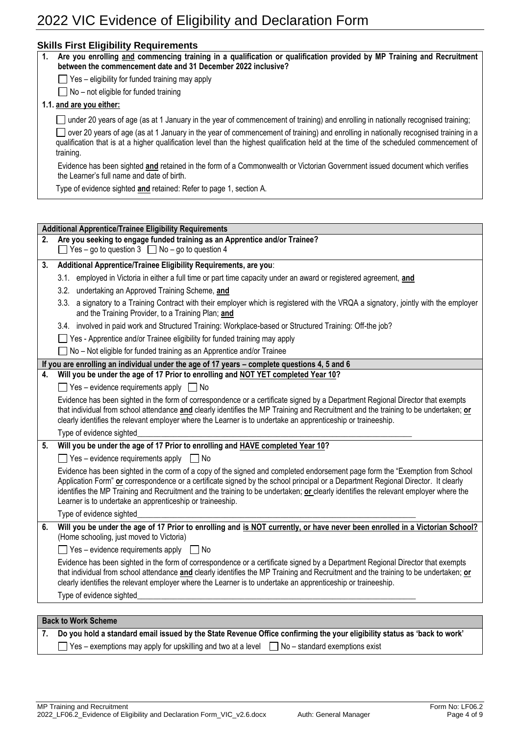|    | <b>Skills First Eligibility Requirements</b>                                                                                                                                                                                                                                                                                                                                                                                                                          |  |  |  |  |
|----|-----------------------------------------------------------------------------------------------------------------------------------------------------------------------------------------------------------------------------------------------------------------------------------------------------------------------------------------------------------------------------------------------------------------------------------------------------------------------|--|--|--|--|
| 1. | Are you enrolling and commencing training in a qualification or qualification provided by MP Training and Recruitment<br>between the commencement date and 31 December 2022 inclusive?                                                                                                                                                                                                                                                                                |  |  |  |  |
|    | $\Box$ Yes – eligibility for funded training may apply                                                                                                                                                                                                                                                                                                                                                                                                                |  |  |  |  |
|    | No - not eligible for funded training                                                                                                                                                                                                                                                                                                                                                                                                                                 |  |  |  |  |
|    | 1.1. and are you either:                                                                                                                                                                                                                                                                                                                                                                                                                                              |  |  |  |  |
|    | under 20 years of age (as at 1 January in the year of commencement of training) and enrolling in nationally recognised training;                                                                                                                                                                                                                                                                                                                                      |  |  |  |  |
|    | over 20 years of age (as at 1 January in the year of commencement of training) and enrolling in nationally recognised training in a<br>qualification that is at a higher qualification level than the highest qualification held at the time of the scheduled commencement of<br>training.                                                                                                                                                                            |  |  |  |  |
|    | Evidence has been sighted and retained in the form of a Commonwealth or Victorian Government issued document which verifies<br>the Learner's full name and date of birth.                                                                                                                                                                                                                                                                                             |  |  |  |  |
|    | Type of evidence sighted and retained: Refer to page 1, section A.                                                                                                                                                                                                                                                                                                                                                                                                    |  |  |  |  |
|    |                                                                                                                                                                                                                                                                                                                                                                                                                                                                       |  |  |  |  |
|    |                                                                                                                                                                                                                                                                                                                                                                                                                                                                       |  |  |  |  |
| 2. | <b>Additional Apprentice/Trainee Eligibility Requirements</b><br>Are you seeking to engage funded training as an Apprentice and/or Trainee?                                                                                                                                                                                                                                                                                                                           |  |  |  |  |
|    | $\Box$ Yes – go to question 3 $\Box$ No – go to question 4                                                                                                                                                                                                                                                                                                                                                                                                            |  |  |  |  |
| 3. | Additional Apprentice/Trainee Eligibility Requirements, are you:                                                                                                                                                                                                                                                                                                                                                                                                      |  |  |  |  |
|    | 3.1. employed in Victoria in either a full time or part time capacity under an award or registered agreement, and                                                                                                                                                                                                                                                                                                                                                     |  |  |  |  |
|    | 3.2. undertaking an Approved Training Scheme, and                                                                                                                                                                                                                                                                                                                                                                                                                     |  |  |  |  |
|    | 3.3. a signatory to a Training Contract with their employer which is registered with the VRQA a signatory, jointly with the employer<br>and the Training Provider, to a Training Plan; and                                                                                                                                                                                                                                                                            |  |  |  |  |
|    | 3.4. involved in paid work and Structured Training: Workplace-based or Structured Training: Off-the job?                                                                                                                                                                                                                                                                                                                                                              |  |  |  |  |
|    | □ Yes - Apprentice and/or Trainee eligibility for funded training may apply                                                                                                                                                                                                                                                                                                                                                                                           |  |  |  |  |
|    | No - Not eligible for funded training as an Apprentice and/or Trainee                                                                                                                                                                                                                                                                                                                                                                                                 |  |  |  |  |
|    | If you are enrolling an individual under the age of 17 years - complete questions 4, 5 and 6                                                                                                                                                                                                                                                                                                                                                                          |  |  |  |  |
| 4. | Will you be under the age of 17 Prior to enrolling and NOT YET completed Year 10?                                                                                                                                                                                                                                                                                                                                                                                     |  |  |  |  |
|    | $\Box$ Yes – evidence requirements apply $\Box$ No                                                                                                                                                                                                                                                                                                                                                                                                                    |  |  |  |  |
|    | Evidence has been sighted in the form of correspondence or a certificate signed by a Department Regional Director that exempts<br>that individual from school attendance and clearly identifies the MP Training and Recruitment and the training to be undertaken; or<br>clearly identifies the relevant employer where the Learner is to undertake an apprenticeship or traineeship.                                                                                 |  |  |  |  |
|    | Type of evidence sighted_                                                                                                                                                                                                                                                                                                                                                                                                                                             |  |  |  |  |
| 5. | Will you be under the age of 17 Prior to enrolling and HAVE completed Year 10?                                                                                                                                                                                                                                                                                                                                                                                        |  |  |  |  |
|    | $\Box$ Yes – evidence requirements apply $\Box$ No                                                                                                                                                                                                                                                                                                                                                                                                                    |  |  |  |  |
|    | Evidence has been sighted in the corm of a copy of the signed and completed endorsement page form the "Exemption from School<br>Application Form" or correspondence or a certificate signed by the school principal or a Department Regional Director. It clearly<br>identifies the MP Training and Recruitment and the training to be undertaken; or clearly identifies the relevant employer where the<br>Learner is to undertake an apprenticeship or traineeship. |  |  |  |  |
|    | Type of evidence sighted                                                                                                                                                                                                                                                                                                                                                                                                                                              |  |  |  |  |
| 6. | Will you be under the age of 17 Prior to enrolling and is NOT currently, or have never been enrolled in a Victorian School?<br>(Home schooling, just moved to Victoria)                                                                                                                                                                                                                                                                                               |  |  |  |  |
|    | $\Box$ Yes – evidence requirements apply $\Box$ No                                                                                                                                                                                                                                                                                                                                                                                                                    |  |  |  |  |
|    | Evidence has been sighted in the form of correspondence or a certificate signed by a Department Regional Director that exempts<br>that individual from school attendance and clearly identifies the MP Training and Recruitment and the training to be undertaken; or<br>clearly identifies the relevant employer where the Learner is to undertake an apprenticeship or traineeship.                                                                                 |  |  |  |  |
|    | Type of evidence sighted                                                                                                                                                                                                                                                                                                                                                                                                                                              |  |  |  |  |
|    | <b>Back to Work Scheme</b>                                                                                                                                                                                                                                                                                                                                                                                                                                            |  |  |  |  |

**7. Do you hold a standard email issued by the State Revenue Office confirming the your eligibility status as 'back to work'**  $\Box$  Yes – exemptions may apply for upskilling and two at a level  $\Box$  No – standard exemptions exist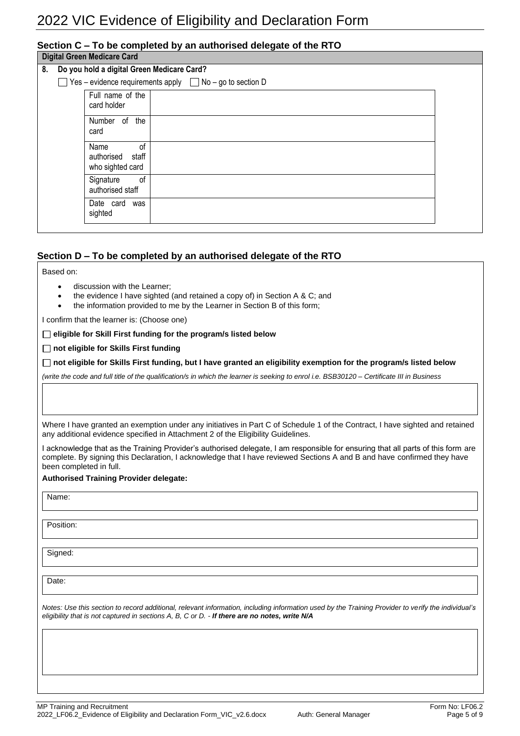### **Section C – To be completed by an authorised delegate of the RTO**

**Digital Green Medicare Card** 

|    | <b>Divirgi Oleeli Medicale Valu</b>                                  |                                                    |  |  |
|----|----------------------------------------------------------------------|----------------------------------------------------|--|--|
| 8. | Do you hold a digital Green Medicare Card?                           |                                                    |  |  |
|    | $\Box$ Yes – evidence requirements apply $\Box$ No – go to section D |                                                    |  |  |
|    |                                                                      | Full name of the<br>card holder                    |  |  |
|    |                                                                      | Number of the<br>card                              |  |  |
|    |                                                                      | Name<br>of<br>authorised staff<br>who sighted card |  |  |
|    |                                                                      | of<br>Signature<br>authorised staff                |  |  |
|    |                                                                      | Date card was<br>sighted                           |  |  |
|    |                                                                      |                                                    |  |  |

### **Section D – To be completed by an authorised delegate of the RTO**

Based on:

- discussion with the Learner;
- the evidence I have sighted (and retained a copy of) in Section A & C; and
- the information provided to me by the Learner in Section B of this form;

I confirm that the learner is: (Choose one)

**eligible for Skill First funding for the program/s listed below**

**not eligible for Skills First funding**

**not eligible for Skills First funding, but I have granted an eligibility exemption for the program/s listed below**

*(write the code and full title of the qualification/s in which the learner is seeking to enrol i.e. BSB30120 – Certificate III in Business*

Where I have granted an exemption under any initiatives in Part C of Schedule 1 of the Contract, I have sighted and retained any additional evidence specified in Attachment 2 of the Eligibility Guidelines.

I acknowledge that as the Training Provider's authorised delegate, I am responsible for ensuring that all parts of this form are complete. By signing this Declaration, I acknowledge that I have reviewed Sections A and B and have confirmed they have been completed in full.

#### **Authorised Training Provider delegate:**

Name:

Position:

Signed:

Date:

*Notes: Use this section to record additional, relevant information, including information used by the Training Provider to verify the individual's eligibility that is not captured in sections A, B, C or D. - If there are no notes, write N/A*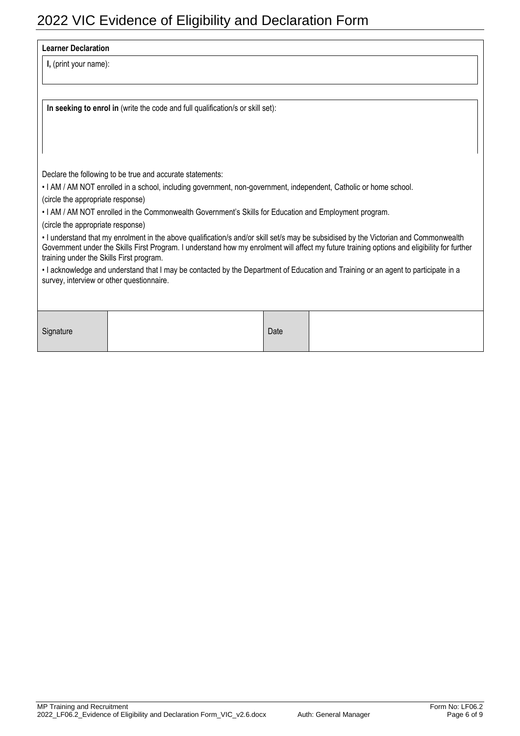#### **Learner Declaration**

**I,** (print your name):

**In seeking to enrol in** (write the code and full qualification/s or skill set):

Declare the following to be true and accurate statements:

• I AM / AM NOT enrolled in a school, including government, non-government, independent, Catholic or home school.

(circle the appropriate response)

• I AM / AM NOT enrolled in the Commonwealth Government's Skills for Education and Employment program.

(circle the appropriate response)

• I understand that my enrolment in the above qualification/s and/or skill set/s may be subsidised by the Victorian and Commonwealth Government under the Skills First Program. I understand how my enrolment will affect my future training options and eligibility for further training under the Skills First program.

• I acknowledge and understand that I may be contacted by the Department of Education and Training or an agent to participate in a survey, interview or other questionnaire.

| Signature | Date |  |
|-----------|------|--|
|           |      |  |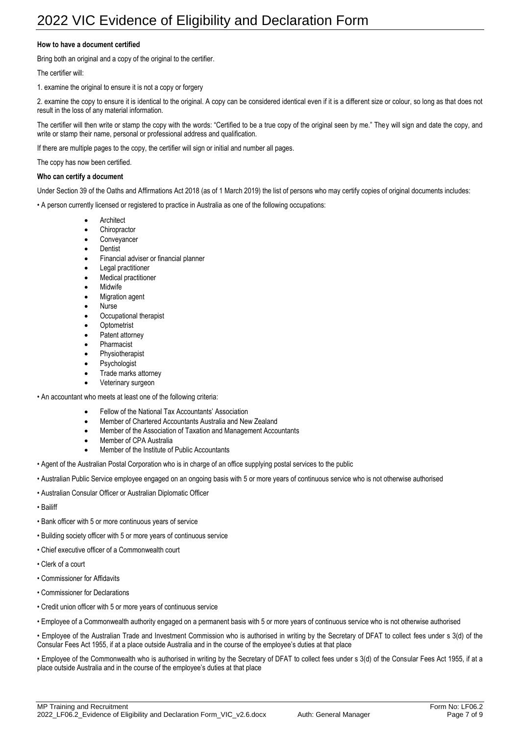### **How to have a document certified**

Bring both an original and a copy of the original to the certifier.

The certifier will:

1. examine the original to ensure it is not a copy or forgery

2. examine the copy to ensure it is identical to the original. A copy can be considered identical even if it is a different size or colour, so long as that does not result in the loss of any material information.

The certifier will then write or stamp the copy with the words: "Certified to be a true copy of the original seen by me." They will sign and date the copy, and write or stamp their name, personal or professional address and qualification.

If there are multiple pages to the copy, the certifier will sign or initial and number all pages.

The copy has now been certified.

#### **Who can certify a document**

Under Section 39 of the Oaths and Affirmations Act 2018 (as of 1 March 2019) the list of persons who may certify copies of original documents includes:

• A person currently licensed or registered to practice in Australia as one of the following occupations:

- **Architect**
- **Chiropractor**
- **Conveyancer**
- **Dentist**
- Financial adviser or financial planner
- Legal practitioner
- Medical practitioner
- **Midwife**
- Migration agent
- **Nurse**
- Occupational therapist
- **Optometrist**
- Patent attorney
- **Pharmacist**
- **Physiotherapist**
- **Psychologist**
- Trade marks attorney
- Veterinary surgeon
- An accountant who meets at least one of the following criteria:
	- Fellow of the National Tax Accountants' Association
	- Member of Chartered Accountants Australia and New Zealand
	- Member of the Association of Taxation and Management Accountants
	- Member of CPA Australia
	- Member of the Institute of Public Accountants
- Agent of the Australian Postal Corporation who is in charge of an office supplying postal services to the public
- Australian Public Service employee engaged on an ongoing basis with 5 or more years of continuous service who is not otherwise authorised
- Australian Consular Officer or Australian Diplomatic Officer
- Bailiff
- Bank officer with 5 or more continuous years of service
- Building society officer with 5 or more years of continuous service
- Chief executive officer of a Commonwealth court
- Clerk of a court
- Commissioner for Affidavits
- Commissioner for Declarations
- Credit union officer with 5 or more years of continuous service
- Employee of a Commonwealth authority engaged on a permanent basis with 5 or more years of continuous service who is not otherwise authorised

• Employee of the Australian Trade and Investment Commission who is authorised in writing by the Secretary of DFAT to collect fees under s 3(d) of the Consular Fees Act 1955, if at a place outside Australia and in the course of the employee's duties at that place

• Employee of the Commonwealth who is authorised in writing by the Secretary of DFAT to collect fees under s 3(d) of the Consular Fees Act 1955, if at a place outside Australia and in the course of the employee's duties at that place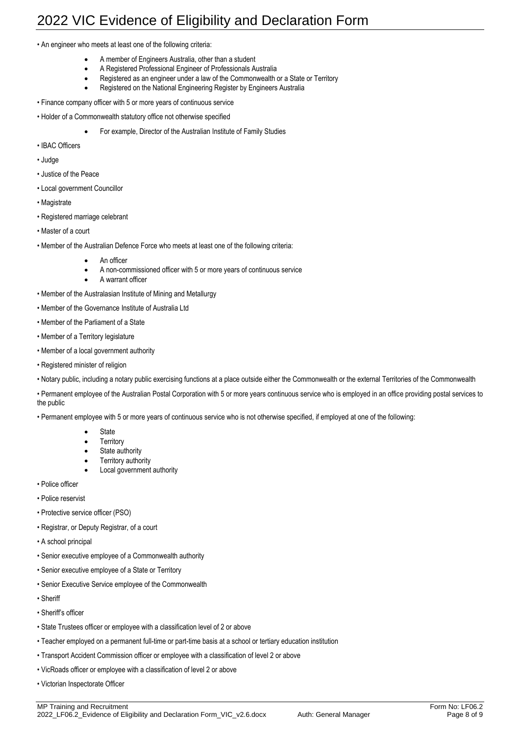• An engineer who meets at least one of the following criteria:

- A member of Engineers Australia, other than a student
- A Registered Professional Engineer of Professionals Australia
- Registered as an engineer under a law of the Commonwealth or a State or Territory
- Registered on the National Engineering Register by Engineers Australia
- Finance company officer with 5 or more years of continuous service
- Holder of a Commonwealth statutory office not otherwise specified
	- For example, Director of the Australian Institute of Family Studies
- IBAC Officers
- Judge
- Justice of the Peace
- Local government Councillor
- Magistrate
- Registered marriage celebrant
- Master of a court
- Member of the Australian Defence Force who meets at least one of the following criteria:
	- An officer
	- A non-commissioned officer with 5 or more years of continuous service
	- A warrant officer
- Member of the Australasian Institute of Mining and Metallurgy
- Member of the Governance Institute of Australia Ltd
- Member of the Parliament of a State
- Member of a Territory legislature
- Member of a local government authority
- Registered minister of religion
- Notary public, including a notary public exercising functions at a place outside either the Commonwealth or the external Territories of the Commonwealth
- Permanent employee of the Australian Postal Corporation with 5 or more years continuous service who is employed in an office providing postal services to the public
- Permanent employee with 5 or more years of continuous service who is not otherwise specified, if employed at one of the following:
	- **State**
	- **Territory**
	- State authority
	- **Territory authority**
	- Local government authority
- Police officer
- Police reservist
- Protective service officer (PSO)
- Registrar, or Deputy Registrar, of a court
- A school principal
- Senior executive employee of a Commonwealth authority
- Senior executive employee of a State or Territory
- Senior Executive Service employee of the Commonwealth
- Sheriff
- Sheriff's officer
- State Trustees officer or employee with a classification level of 2 or above
- Teacher employed on a permanent full-time or part-time basis at a school or tertiary education institution
- Transport Accident Commission officer or employee with a classification of level 2 or above
- VicRoads officer or employee with a classification of level 2 or above
- Victorian Inspectorate Officer